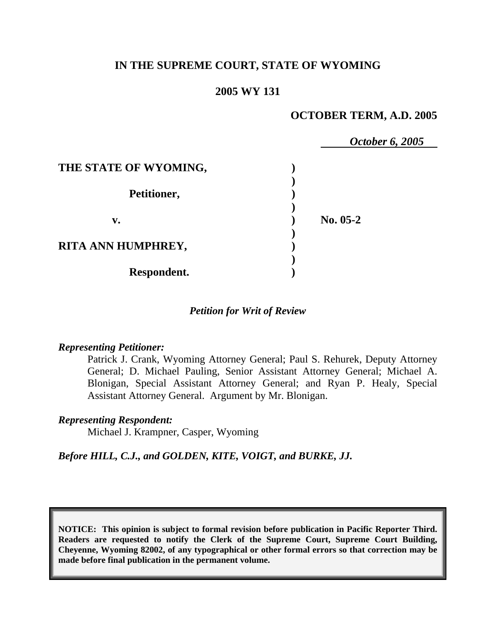# **IN THE SUPREME COURT, STATE OF WYOMING**

## **2005 WY 131**

## **OCTOBER TERM, A.D. 2005**

|                       | October 6, 2005 |
|-----------------------|-----------------|
| THE STATE OF WYOMING, |                 |
| Petitioner,           |                 |
| v.                    | $No. 05-2$      |
| RITA ANN HUMPHREY,    |                 |
| Respondent.           |                 |

### *Petition for Writ of Review*

#### *Representing Petitioner:*

Patrick J. Crank, Wyoming Attorney General; Paul S. Rehurek, Deputy Attorney General; D. Michael Pauling, Senior Assistant Attorney General; Michael A. Blonigan, Special Assistant Attorney General; and Ryan P. Healy, Special Assistant Attorney General. Argument by Mr. Blonigan.

#### *Representing Respondent:*

Michael J. Krampner, Casper, Wyoming

## *Before HILL, C.J., and GOLDEN, KITE, VOIGT, and BURKE, JJ.*

**NOTICE: This opinion is subject to formal revision before publication in Pacific Reporter Third. Readers are requested to notify the Clerk of the Supreme Court, Supreme Court Building, Cheyenne, Wyoming 82002, of any typographical or other formal errors so that correction may be made before final publication in the permanent volume.**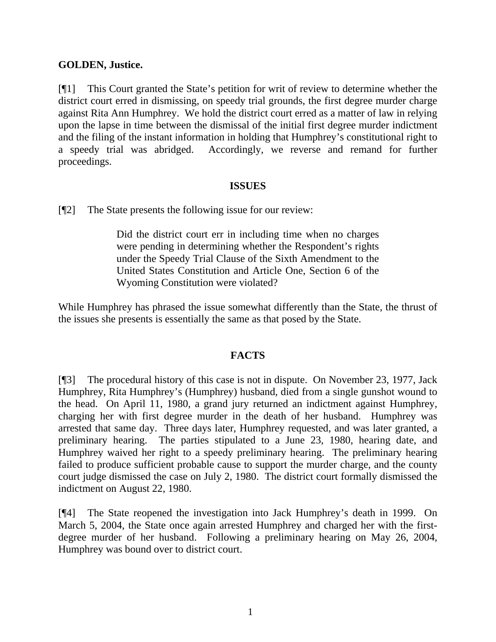## **GOLDEN, Justice.**

[¶1] This Court granted the State's petition for writ of review to determine whether the district court erred in dismissing, on speedy trial grounds, the first degree murder charge against Rita Ann Humphrey. We hold the district court erred as a matter of law in relying upon the lapse in time between the dismissal of the initial first degree murder indictment and the filing of the instant information in holding that Humphrey's constitutional right to a speedy trial was abridged. Accordingly, we reverse and remand for further proceedings.

## **ISSUES**

[¶2] The State presents the following issue for our review:

Did the district court err in including time when no charges were pending in determining whether the Respondent's rights under the Speedy Trial Clause of the Sixth Amendment to the United States Constitution and Article One, Section 6 of the Wyoming Constitution were violated?

While Humphrey has phrased the issue somewhat differently than the State, the thrust of the issues she presents is essentially the same as that posed by the State.

## **FACTS**

[¶3] The procedural history of this case is not in dispute. On November 23, 1977, Jack Humphrey, Rita Humphrey's (Humphrey) husband, died from a single gunshot wound to the head. On April 11, 1980, a grand jury returned an indictment against Humphrey, charging her with first degree murder in the death of her husband. Humphrey was arrested that same day. Three days later, Humphrey requested, and was later granted, a preliminary hearing. The parties stipulated to a June 23, 1980, hearing date, and Humphrey waived her right to a speedy preliminary hearing. The preliminary hearing failed to produce sufficient probable cause to support the murder charge, and the county court judge dismissed the case on July 2, 1980. The district court formally dismissed the indictment on August 22, 1980.

[¶4] The State reopened the investigation into Jack Humphrey's death in 1999. On March 5, 2004, the State once again arrested Humphrey and charged her with the firstdegree murder of her husband. Following a preliminary hearing on May 26, 2004, Humphrey was bound over to district court.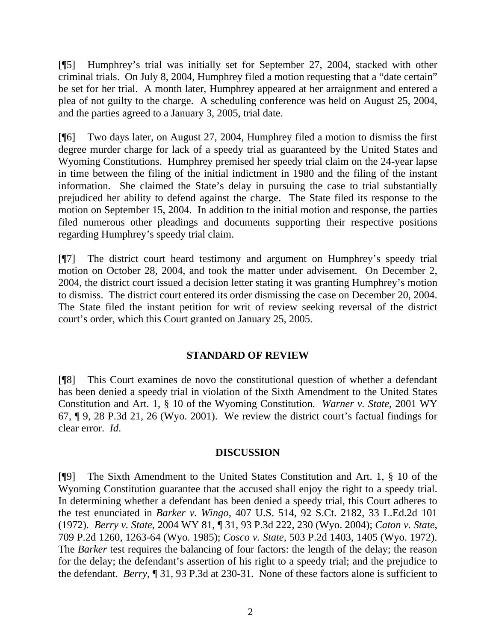[¶5] Humphrey's trial was initially set for September 27, 2004, stacked with other criminal trials. On July 8, 2004, Humphrey filed a motion requesting that a "date certain" be set for her trial. A month later, Humphrey appeared at her arraignment and entered a plea of not guilty to the charge. A scheduling conference was held on August 25, 2004, and the parties agreed to a January 3, 2005, trial date.

[¶6] Two days later, on August 27, 2004, Humphrey filed a motion to dismiss the first degree murder charge for lack of a speedy trial as guaranteed by the United States and Wyoming Constitutions. Humphrey premised her speedy trial claim on the 24-year lapse in time between the filing of the initial indictment in 1980 and the filing of the instant information. She claimed the State's delay in pursuing the case to trial substantially prejudiced her ability to defend against the charge. The State filed its response to the motion on September 15, 2004. In addition to the initial motion and response, the parties filed numerous other pleadings and documents supporting their respective positions regarding Humphrey's speedy trial claim.

[¶7] The district court heard testimony and argument on Humphrey's speedy trial motion on October 28, 2004, and took the matter under advisement. On December 2, 2004, the district court issued a decision letter stating it was granting Humphrey's motion to dismiss. The district court entered its order dismissing the case on December 20, 2004. The State filed the instant petition for writ of review seeking reversal of the district court's order, which this Court granted on January 25, 2005.

## **STANDARD OF REVIEW**

[¶8] This Court examines de novo the constitutional question of whether a defendant has been denied a speedy trial in violation of the Sixth Amendment to the United States Constitution and Art. 1, § 10 of the Wyoming Constitution. *Warner v. State*, 2001 WY 67, ¶ 9, 28 P.3d 21, 26 (Wyo. 2001). We review the district court's factual findings for clear error. *Id*.

## **DISCUSSION**

[¶9] The Sixth Amendment to the United States Constitution and Art. 1, § 10 of the Wyoming Constitution guarantee that the accused shall enjoy the right to a speedy trial. In determining whether a defendant has been denied a speedy trial, this Court adheres to the test enunciated in *Barker v. Wingo*, 407 U.S. 514, 92 S.Ct. 2182, 33 L.Ed.2d 101 (1972). *Berry v. State*, 2004 WY 81, ¶ 31, 93 P.3d 222, 230 (Wyo. 2004); *Caton v. State*, 709 P.2d 1260, 1263-64 (Wyo. 1985); *Cosco v. State*, 503 P.2d 1403, 1405 (Wyo. 1972). The *Barker* test requires the balancing of four factors: the length of the delay; the reason for the delay; the defendant's assertion of his right to a speedy trial; and the prejudice to the defendant. *Berry*, ¶ 31, 93 P.3d at 230-31. None of these factors alone is sufficient to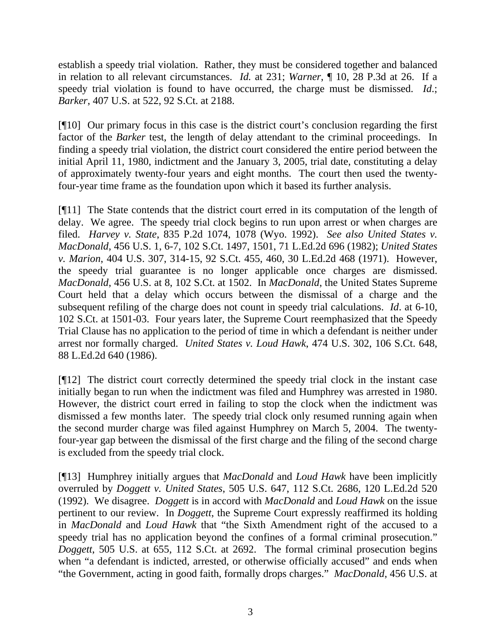establish a speedy trial violation. Rather, they must be considered together and balanced in relation to all relevant circumstances. *Id.* at 231; *Warner*, ¶ 10, 28 P.3d at 26. If a speedy trial violation is found to have occurred, the charge must be dismissed. *Id*.; *Barker*, 407 U.S. at 522, 92 S.Ct. at 2188.

[¶10] Our primary focus in this case is the district court's conclusion regarding the first factor of the *Barker* test, the length of delay attendant to the criminal proceedings. In finding a speedy trial violation, the district court considered the entire period between the initial April 11, 1980, indictment and the January 3, 2005, trial date, constituting a delay of approximately twenty-four years and eight months. The court then used the twentyfour-year time frame as the foundation upon which it based its further analysis.

[¶11] The State contends that the district court erred in its computation of the length of delay. We agree. The speedy trial clock begins to run upon arrest or when charges are filed. *Harvey v. State*, 835 P.2d 1074, 1078 (Wyo. 1992). *See also United States v. MacDonald*, 456 U.S. 1, 6-7, 102 S.Ct. 1497, 1501, 71 L.Ed.2d 696 (1982); *United States v. Marion*, 404 U.S. 307, 314-15, 92 S.Ct. 455, 460, 30 L.Ed.2d 468 (1971). However, the speedy trial guarantee is no longer applicable once charges are dismissed. *MacDonald*, 456 U.S. at 8, 102 S.Ct. at 1502. In *MacDonald*, the United States Supreme Court held that a delay which occurs between the dismissal of a charge and the subsequent refiling of the charge does not count in speedy trial calculations. *Id*. at 6-10, 102 S.Ct. at 1501-03. Four years later, the Supreme Court reemphasized that the Speedy Trial Clause has no application to the period of time in which a defendant is neither under arrest nor formally charged. *United States v. Loud Hawk*, 474 U.S. 302, 106 S.Ct. 648, 88 L.Ed.2d 640 (1986).

[¶12] The district court correctly determined the speedy trial clock in the instant case initially began to run when the indictment was filed and Humphrey was arrested in 1980. However, the district court erred in failing to stop the clock when the indictment was dismissed a few months later. The speedy trial clock only resumed running again when the second murder charge was filed against Humphrey on March 5, 2004. The twentyfour-year gap between the dismissal of the first charge and the filing of the second charge is excluded from the speedy trial clock.

[¶13] Humphrey initially argues that *MacDonald* and *Loud Hawk* have been implicitly overruled by *Doggett v. United States*, 505 U.S. 647, 112 S.Ct. 2686, 120 L.Ed.2d 520 (1992). We disagree. *Doggett* is in accord with *MacDonald* and *Loud Hawk* on the issue pertinent to our review. In *Doggett*, the Supreme Court expressly reaffirmed its holding in *MacDonald* and *Loud Hawk* that "the Sixth Amendment right of the accused to a speedy trial has no application beyond the confines of a formal criminal prosecution." *Doggett*, 505 U.S. at 655, 112 S.Ct. at 2692. The formal criminal prosecution begins when "a defendant is indicted, arrested, or otherwise officially accused" and ends when "the Government, acting in good faith, formally drops charges." *MacDonald*, 456 U.S. at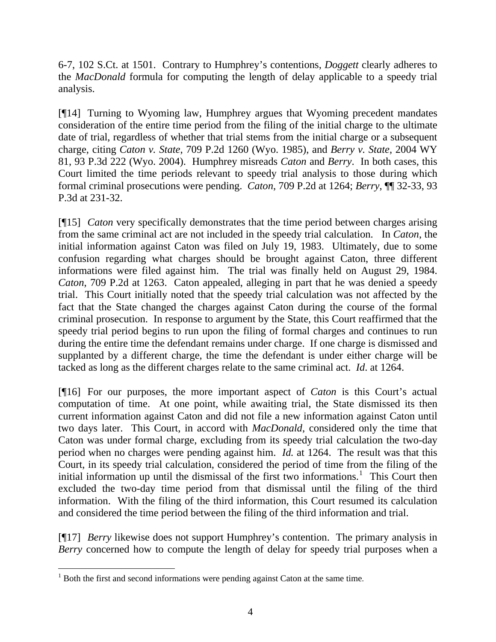6-7, 102 S.Ct. at 1501. Contrary to Humphrey's contentions, *Doggett* clearly adheres to the *MacDonald* formula for computing the length of delay applicable to a speedy trial analysis.

[¶14] Turning to Wyoming law, Humphrey argues that Wyoming precedent mandates consideration of the entire time period from the filing of the initial charge to the ultimate date of trial, regardless of whether that trial stems from the initial charge or a subsequent charge, citing *Caton v. State*, 709 P.2d 1260 (Wyo. 1985), and *Berry v. State*, 2004 WY 81, 93 P.3d 222 (Wyo. 2004). Humphrey misreads *Caton* and *Berry*. In both cases, this Court limited the time periods relevant to speedy trial analysis to those during which formal criminal prosecutions were pending. *Caton*, 709 P.2d at 1264; *Berry*, ¶¶ 32-33, 93 P.3d at 231-32.

[¶15] *Caton* very specifically demonstrates that the time period between charges arising from the same criminal act are not included in the speedy trial calculation. In *Caton*, the initial information against Caton was filed on July 19, 1983. Ultimately, due to some confusion regarding what charges should be brought against Caton, three different informations were filed against him. The trial was finally held on August 29, 1984. *Caton*, 709 P.2d at 1263. Caton appealed, alleging in part that he was denied a speedy trial. This Court initially noted that the speedy trial calculation was not affected by the fact that the State changed the charges against Caton during the course of the formal criminal prosecution. In response to argument by the State, this Court reaffirmed that the speedy trial period begins to run upon the filing of formal charges and continues to run during the entire time the defendant remains under charge. If one charge is dismissed and supplanted by a different charge, the time the defendant is under either charge will be tacked as long as the different charges relate to the same criminal act. *Id*. at 1264.

[¶16] For our purposes, the more important aspect of *Caton* is this Court's actual computation of time. At one point, while awaiting trial, the State dismissed its then current information against Caton and did not file a new information against Caton until two days later. This Court, in accord with *MacDonald*, considered only the time that Caton was under formal charge, excluding from its speedy trial calculation the two-day period when no charges were pending against him. *Id.* at 1264. The result was that this Court, in its speedy trial calculation, considered the period of time from the filing of the initial information up until the dismissal of the first two informations.<sup>[1](#page-4-0)</sup> This Court then excluded the two-day time period from that dismissal until the filing of the third information. With the filing of the third information, this Court resumed its calculation and considered the time period between the filing of the third information and trial.

[¶17] *Berry* likewise does not support Humphrey's contention. The primary analysis in *Berry* concerned how to compute the length of delay for speedy trial purposes when a

 $\overline{a}$ 

<span id="page-4-0"></span> $1$  Both the first and second informations were pending against Caton at the same time.